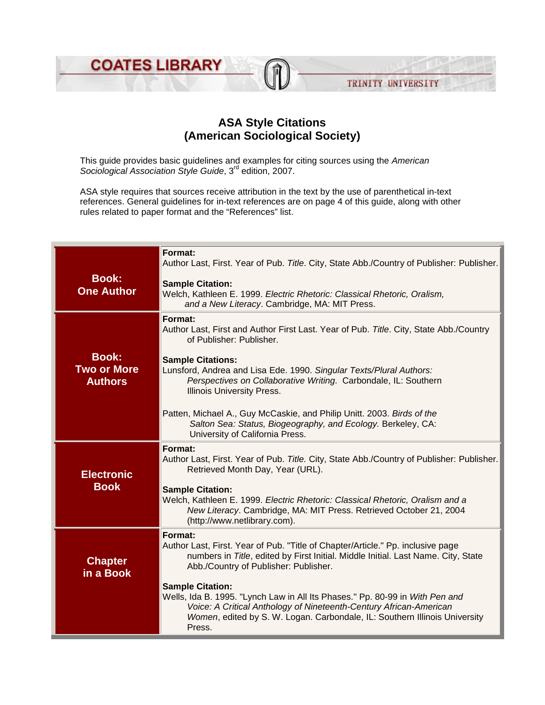

## **ASA Style Citations (American Sociological Society)**

This guide provides basic guidelines and examples for citing sources using the *American Sociological Association Style Guide*, 3rd edition, 2007.

ASA style requires that sources receive attribution in the text by the use of parenthetical in-text references. General guidelines for in-text references are on page 4 of this guide, along with other rules related to paper format and the "References" list.

| <b>Book:</b><br><b>One Author</b>                    | Format:<br>Author Last, First. Year of Pub. Title. City, State Abb./Country of Publisher: Publisher.                                                                                                                                                                  |
|------------------------------------------------------|-----------------------------------------------------------------------------------------------------------------------------------------------------------------------------------------------------------------------------------------------------------------------|
|                                                      | <b>Sample Citation:</b><br>Welch, Kathleen E. 1999. Electric Rhetoric: Classical Rhetoric, Oralism,<br>and a New Literacy. Cambridge, MA: MIT Press.                                                                                                                  |
| <b>Book:</b><br><b>Two or More</b><br><b>Authors</b> | Format:<br>Author Last, First and Author First Last. Year of Pub. Title. City, State Abb./Country<br>of Publisher: Publisher.                                                                                                                                         |
|                                                      | <b>Sample Citations:</b><br>Lunsford, Andrea and Lisa Ede. 1990. Singular Texts/Plural Authors:<br>Perspectives on Collaborative Writing. Carbondale, IL: Southern<br><b>Illinois University Press.</b>                                                               |
|                                                      | Patten, Michael A., Guy McCaskie, and Philip Unitt. 2003. Birds of the<br>Salton Sea: Status, Biogeography, and Ecology. Berkeley, CA:<br>University of California Press.                                                                                             |
| <b>Electronic</b><br><b>Book</b>                     | Format:<br>Author Last, First. Year of Pub. Title. City, State Abb./Country of Publisher: Publisher.<br>Retrieved Month Day, Year (URL).                                                                                                                              |
|                                                      | <b>Sample Citation:</b><br>Welch, Kathleen E. 1999. Electric Rhetoric: Classical Rhetoric, Oralism and a<br>New Literacy. Cambridge, MA: MIT Press. Retrieved October 21, 2004<br>(http://www.netlibrary.com).                                                        |
| <b>Chapter</b><br>in a Book                          | Format:<br>Author Last, First. Year of Pub. "Title of Chapter/Article." Pp. inclusive page<br>numbers in Title, edited by First Initial. Middle Initial. Last Name. City, State<br>Abb./Country of Publisher: Publisher.                                              |
|                                                      | <b>Sample Citation:</b><br>Wells, Ida B. 1995. "Lynch Law in All Its Phases." Pp. 80-99 in With Pen and<br>Voice: A Critical Anthology of Nineteenth-Century African-American<br>Women, edited by S. W. Logan. Carbondale, IL: Southern Illinois University<br>Press. |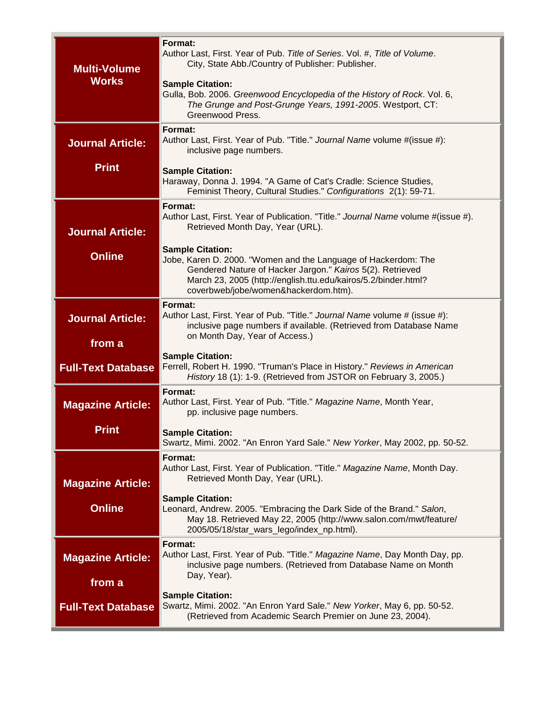| <b>Multi-Volume</b><br><b>Works</b> | Format:<br>Author Last, First. Year of Pub. Title of Series. Vol. #, Title of Volume.<br>City, State Abb./Country of Publisher: Publisher.<br><b>Sample Citation:</b><br>Gulla, Bob. 2006. Greenwood Encyclopedia of the History of Rock. Vol. 6,<br>The Grunge and Post-Grunge Years, 1991-2005. Westport, CT:<br>Greenwood Press. |
|-------------------------------------|-------------------------------------------------------------------------------------------------------------------------------------------------------------------------------------------------------------------------------------------------------------------------------------------------------------------------------------|
| <b>Journal Article:</b>             | Format:<br>Author Last, First. Year of Pub. "Title." Journal Name volume #(issue #):<br>inclusive page numbers.                                                                                                                                                                                                                     |
| <b>Print</b>                        | <b>Sample Citation:</b><br>Haraway, Donna J. 1994. "A Game of Cat's Cradle: Science Studies,<br>Feminist Theory, Cultural Studies." Configurations 2(1): 59-71.                                                                                                                                                                     |
| <b>Journal Article:</b>             | Format:<br>Author Last, First. Year of Publication. "Title." Journal Name volume #(issue #).<br>Retrieved Month Day, Year (URL).                                                                                                                                                                                                    |
| <b>Online</b>                       | <b>Sample Citation:</b><br>Jobe, Karen D. 2000. "Women and the Language of Hackerdom: The<br>Gendered Nature of Hacker Jargon." Kairos 5(2). Retrieved<br>March 23, 2005 (http://english.ttu.edu/kairos/5.2/binder.html?<br>coverbweb/jobe/women&hackerdom.htm).                                                                    |
| <b>Journal Article:</b><br>from a   | Format:<br>Author Last, First. Year of Pub. "Title." Journal Name volume # (issue #):<br>inclusive page numbers if available. (Retrieved from Database Name<br>on Month Day, Year of Access.)                                                                                                                                       |
| <b>Full-Text Database</b>           | <b>Sample Citation:</b><br>Ferrell, Robert H. 1990. "Truman's Place in History." Reviews in American<br>History 18 (1): 1-9. (Retrieved from JSTOR on February 3, 2005.)                                                                                                                                                            |
| <b>Magazine Article:</b><br>Print   | Format:<br>Author Last, First. Year of Pub. "Title." Magazine Name, Month Year,<br>pp. inclusive page numbers.<br><b>Sample Citation:</b>                                                                                                                                                                                           |
|                                     | Swartz, Mimi. 2002. "An Enron Yard Sale." New Yorker, May 2002, pp. 50-52.                                                                                                                                                                                                                                                          |
| <b>Magazine Article:</b>            | Format:<br>Author Last, First. Year of Publication. "Title." Magazine Name, Month Day.<br>Retrieved Month Day, Year (URL).                                                                                                                                                                                                          |
| <b>Online</b>                       | <b>Sample Citation:</b><br>Leonard, Andrew. 2005. "Embracing the Dark Side of the Brand." Salon,<br>May 18. Retrieved May 22, 2005 (http://www.salon.com/mwt/feature/<br>2005/05/18/star_wars_lego/index_np.html).                                                                                                                  |
| <b>Magazine Article:</b>            | Format:<br>Author Last, First. Year of Pub. "Title." Magazine Name, Day Month Day, pp.<br>inclusive page numbers. (Retrieved from Database Name on Month<br>Day, Year).                                                                                                                                                             |
| from a<br><b>Full-Text Database</b> | <b>Sample Citation:</b><br>Swartz, Mimi. 2002. "An Enron Yard Sale." New Yorker, May 6, pp. 50-52.<br>(Retrieved from Academic Search Premier on June 23, 2004).                                                                                                                                                                    |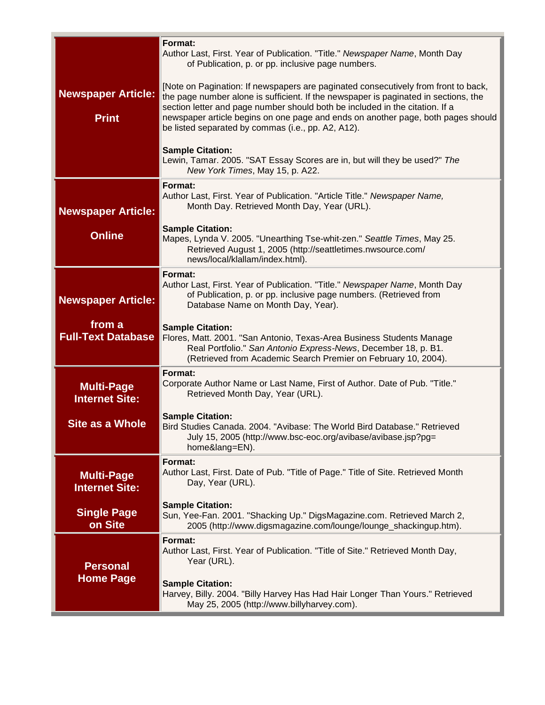| <b>Newspaper Article:</b><br><b>Print</b>  | Format:<br>Author Last, First. Year of Publication. "Title." Newspaper Name, Month Day<br>of Publication, p. or pp. inclusive page numbers.<br>[Note on Pagination: If newspapers are paginated consecutively from front to back,<br>the page number alone is sufficient. If the newspaper is paginated in sections, the<br>section letter and page number should both be included in the citation. If a<br>newspaper article begins on one page and ends on another page, both pages should<br>be listed separated by commas (i.e., pp. A2, A12). |
|--------------------------------------------|----------------------------------------------------------------------------------------------------------------------------------------------------------------------------------------------------------------------------------------------------------------------------------------------------------------------------------------------------------------------------------------------------------------------------------------------------------------------------------------------------------------------------------------------------|
|                                            | <b>Sample Citation:</b><br>Lewin, Tamar. 2005. "SAT Essay Scores are in, but will they be used?" The<br>New York Times, May 15, p. A22.                                                                                                                                                                                                                                                                                                                                                                                                            |
| <b>Newspaper Article:</b>                  | Format:<br>Author Last, First. Year of Publication. "Article Title." Newspaper Name,<br>Month Day. Retrieved Month Day, Year (URL).                                                                                                                                                                                                                                                                                                                                                                                                                |
| <b>Online</b>                              | <b>Sample Citation:</b><br>Mapes, Lynda V. 2005. "Unearthing Tse-whit-zen." Seattle Times, May 25.<br>Retrieved August 1, 2005 (http://seattletimes.nwsource.com/<br>news/local/klallam/index.html).                                                                                                                                                                                                                                                                                                                                               |
| <b>Newspaper Article:</b>                  | Format:<br>Author Last, First. Year of Publication. "Title." Newspaper Name, Month Day<br>of Publication, p. or pp. inclusive page numbers. (Retrieved from<br>Database Name on Month Day, Year).                                                                                                                                                                                                                                                                                                                                                  |
| from a<br><b>Full-Text Database</b>        | <b>Sample Citation:</b><br>Flores, Matt. 2001. "San Antonio, Texas-Area Business Students Manage<br>Real Portfolio." San Antonio Express-News, December 18, p. B1.<br>(Retrieved from Academic Search Premier on February 10, 2004).                                                                                                                                                                                                                                                                                                               |
| <b>Multi-Page</b><br><b>Internet Site:</b> | Format:<br>Corporate Author Name or Last Name, First of Author. Date of Pub. "Title."<br>Retrieved Month Day, Year (URL).                                                                                                                                                                                                                                                                                                                                                                                                                          |
| <b>Site as a Whole</b>                     | <b>Sample Citation:</b><br>Bird Studies Canada. 2004. "Avibase: The World Bird Database." Retrieved<br>July 15, 2005 (http://www.bsc-eoc.org/avibase/avibase.jsp?pg=<br>home⟨=EN).                                                                                                                                                                                                                                                                                                                                                                 |
| <b>Multi-Page</b><br><b>Internet Site:</b> | Format:<br>Author Last, First. Date of Pub. "Title of Page." Title of Site. Retrieved Month<br>Day, Year (URL).                                                                                                                                                                                                                                                                                                                                                                                                                                    |
| <b>Single Page</b><br>on Site              | <b>Sample Citation:</b><br>Sun, Yee-Fan. 2001. "Shacking Up." DigsMagazine.com. Retrieved March 2,<br>2005 (http://www.digsmagazine.com/lounge/lounge_shackingup.htm).                                                                                                                                                                                                                                                                                                                                                                             |
| <b>Personal</b>                            | Format:<br>Author Last, First. Year of Publication. "Title of Site." Retrieved Month Day,<br>Year (URL).                                                                                                                                                                                                                                                                                                                                                                                                                                           |
| <b>Home Page</b>                           | <b>Sample Citation:</b><br>Harvey, Billy. 2004. "Billy Harvey Has Had Hair Longer Than Yours." Retrieved<br>May 25, 2005 (http://www.billyharvey.com).                                                                                                                                                                                                                                                                                                                                                                                             |